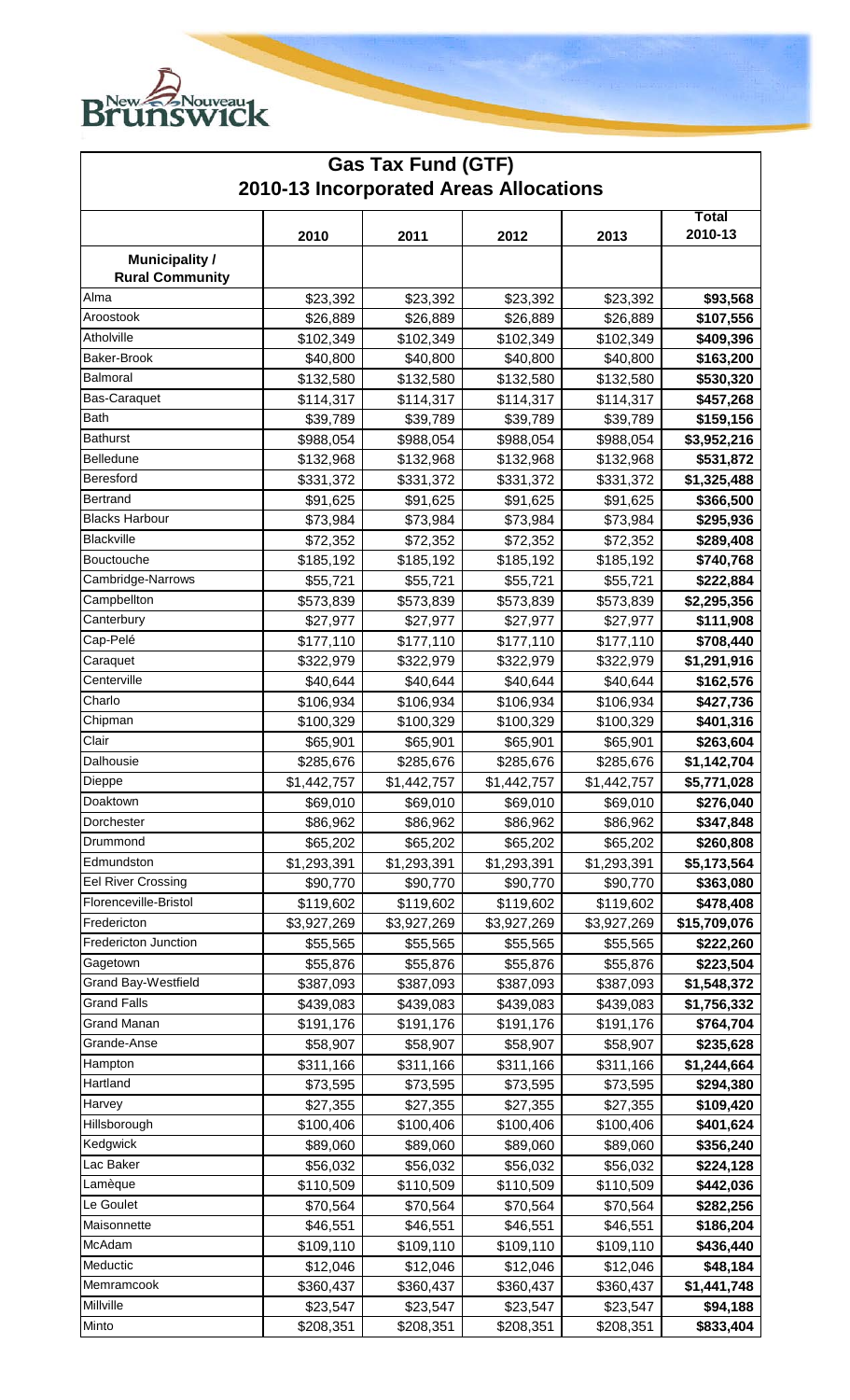

| <b>Gas Tax Fund (GTF)</b><br>2010-13 Incorporated Areas Allocations |             |             |             |             |              |  |  |  |
|---------------------------------------------------------------------|-------------|-------------|-------------|-------------|--------------|--|--|--|
|                                                                     |             |             |             |             |              |  |  |  |
| <b>Municipality /</b><br><b>Rural Community</b>                     |             |             |             |             |              |  |  |  |
| Alma                                                                | \$23,392    | \$23,392    | \$23,392    | \$23,392    | \$93,568     |  |  |  |
| Aroostook                                                           | \$26,889    | \$26,889    | \$26,889    | \$26,889    | \$107,556    |  |  |  |
| Atholville                                                          | \$102,349   | \$102,349   | \$102,349   | \$102,349   | \$409,396    |  |  |  |
| Baker-Brook                                                         | \$40,800    | \$40,800    | \$40,800    | \$40,800    | \$163,200    |  |  |  |
| Balmoral                                                            | \$132,580   | \$132,580   | \$132,580   | \$132,580   | \$530,320    |  |  |  |
| Bas-Caraquet                                                        | \$114,317   | \$114,317   | \$114,317   | \$114,317   | \$457,268    |  |  |  |
| Bath                                                                | \$39,789    | \$39,789    | \$39,789    | \$39,789    | \$159,156    |  |  |  |
| <b>Bathurst</b>                                                     | \$988,054   | \$988,054   | \$988,054   | \$988,054   | \$3,952,216  |  |  |  |
| Belledune                                                           | \$132,968   | \$132,968   | \$132,968   | \$132,968   | \$531,872    |  |  |  |
| Beresford                                                           | \$331,372   | \$331,372   | \$331,372   | \$331,372   | \$1,325,488  |  |  |  |
| Bertrand                                                            | \$91,625    | \$91,625    | \$91,625    | \$91,625    | \$366,500    |  |  |  |
| <b>Blacks Harbour</b>                                               | \$73,984    | \$73,984    | \$73,984    | \$73,984    | \$295,936    |  |  |  |
| Blackville                                                          | \$72,352    | \$72,352    | \$72,352    | \$72,352    | \$289,408    |  |  |  |
| Bouctouche                                                          | \$185,192   | \$185,192   | \$185,192   | \$185,192   | \$740,768    |  |  |  |
| Cambridge-Narrows                                                   | \$55,721    | \$55,721    | \$55,721    | \$55,721    | \$222,884    |  |  |  |
| Campbellton                                                         | \$573,839   | \$573,839   | \$573,839   | \$573,839   | \$2,295,356  |  |  |  |
| Canterbury                                                          | \$27,977    | \$27,977    | \$27,977    | \$27,977    | \$111,908    |  |  |  |
| Cap-Pelé                                                            | \$177,110   | \$177,110   | \$177,110   | \$177,110   | \$708,440    |  |  |  |
| Caraquet                                                            | \$322,979   | \$322,979   | \$322,979   | \$322,979   | \$1,291,916  |  |  |  |
| Centerville                                                         | \$40,644    | \$40,644    | \$40,644    | \$40,644    | \$162,576    |  |  |  |
| Charlo                                                              | \$106,934   | \$106,934   | \$106,934   | \$106,934   | \$427,736    |  |  |  |
| Chipman                                                             | \$100,329   | \$100,329   | \$100,329   | \$100,329   | \$401,316    |  |  |  |
| Clair                                                               | \$65,901    | \$65,901    | \$65,901    | \$65,901    | \$263,604    |  |  |  |
| Dalhousie                                                           | \$285,676   | \$285,676   | \$285,676   | \$285,676   | \$1,142,704  |  |  |  |
| Dieppe                                                              | \$1,442,757 | \$1,442,757 | \$1,442,757 | \$1,442,757 | \$5,771,028  |  |  |  |
| Doaktown                                                            | \$69,010    | \$69,010    | \$69,010    | \$69,010    | \$276,040    |  |  |  |
| Dorchester                                                          | \$86,962    | \$86,962    | \$86,962    | \$86,962    | \$347,848    |  |  |  |
| Drummond                                                            | \$65,202    | \$65,202    | \$65,202    | \$65,202    | \$260,808    |  |  |  |
| Edmundston                                                          | \$1,293,391 | \$1,293,391 | \$1,293,391 | \$1,293,391 | \$5,173,564  |  |  |  |
| <b>Eel River Crossing</b>                                           | \$90,770    | \$90,770    | \$90,770    | \$90,770    | \$363,080    |  |  |  |
| Florenceville-Bristol                                               | \$119,602   | \$119,602   | \$119,602   | \$119,602   | \$478,408    |  |  |  |
| Fredericton                                                         | \$3,927,269 | \$3,927,269 | \$3,927,269 | \$3,927,269 | \$15,709,076 |  |  |  |
| Fredericton Junction                                                | \$55,565    | \$55,565    | \$55,565    | \$55,565    | \$222,260    |  |  |  |
| Gagetown                                                            | \$55,876    | \$55,876    | \$55,876    | \$55,876    | \$223,504    |  |  |  |
| Grand Bay-Westfield                                                 | \$387,093   | \$387,093   | \$387,093   | \$387,093   | \$1,548,372  |  |  |  |
| <b>Grand Falls</b>                                                  | \$439,083   | \$439,083   | \$439,083   | \$439,083   | \$1,756,332  |  |  |  |
| Grand Manan                                                         | \$191,176   | \$191,176   | \$191,176   | \$191,176   | \$764,704    |  |  |  |
| Grande-Anse                                                         | \$58,907    | \$58,907    | \$58,907    | \$58,907    | \$235,628    |  |  |  |
| Hampton                                                             | \$311,166   | \$311,166   | \$311,166   | \$311,166   | \$1,244,664  |  |  |  |
| Hartland                                                            | \$73,595    | \$73,595    | \$73,595    | \$73,595    | \$294,380    |  |  |  |
| Harvey                                                              | \$27,355    | \$27,355    | \$27,355    | \$27,355    | \$109,420    |  |  |  |
| Hillsborough                                                        | \$100,406   | \$100,406   | \$100,406   | \$100,406   | \$401,624    |  |  |  |
| Kedgwick                                                            | \$89,060    | \$89,060    | \$89,060    | \$89,060    | \$356,240    |  |  |  |
| Lac Baker                                                           | \$56,032    | \$56,032    | \$56,032    | \$56,032    | \$224,128    |  |  |  |
| Lamèque                                                             | \$110,509   | \$110,509   | \$110,509   | \$110,509   | \$442,036    |  |  |  |
| Le Goulet                                                           | \$70,564    | \$70,564    | \$70,564    | \$70,564    | \$282,256    |  |  |  |
| Maisonnette                                                         | \$46,551    | \$46,551    | \$46,551    | \$46,551    | \$186,204    |  |  |  |
| McAdam                                                              | \$109,110   | \$109,110   | \$109,110   | \$109,110   | \$436,440    |  |  |  |
| Meductic                                                            | \$12,046    | \$12,046    | \$12,046    | \$12,046    | \$48,184     |  |  |  |
| Memramcook                                                          | \$360,437   | \$360,437   | \$360,437   | \$360,437   | \$1,441,748  |  |  |  |
| Millville                                                           | \$23,547    | \$23,547    | \$23,547    | \$23,547    | \$94,188     |  |  |  |
| Minto                                                               | \$208,351   | \$208,351   | \$208,351   | \$208,351   | \$833,404    |  |  |  |